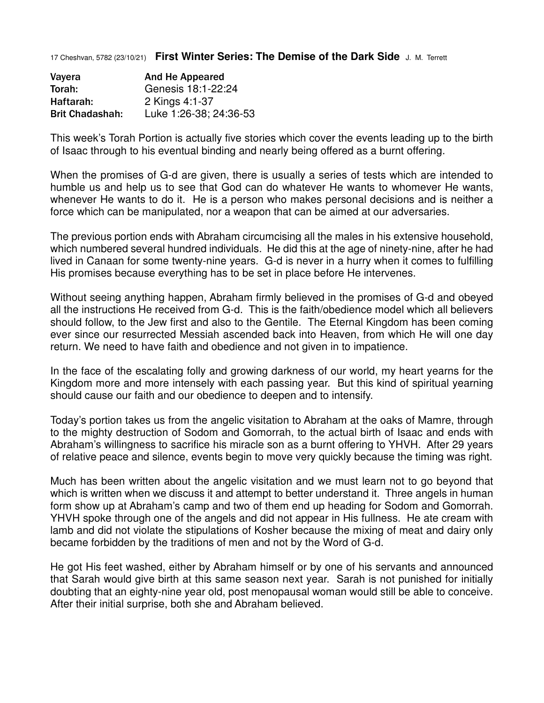17 Cheshvan, 5782 (23/10/21) **First Winter Series: The Demise of the Dark Side** J. M. Terrett

| Vayera                 | <b>And He Appeared</b> |
|------------------------|------------------------|
| Torah:                 | Genesis 18:1-22:24     |
| Haftarah:              | 2 Kings 4:1-37         |
| <b>Brit Chadashah:</b> | Luke 1:26-38; 24:36-53 |

This week's Torah Portion is actually five stories which cover the events leading up to the birth of Isaac through to his eventual binding and nearly being offered as a burnt offering.

When the promises of G-d are given, there is usually a series of tests which are intended to humble us and help us to see that God can do whatever He wants to whomever He wants, whenever He wants to do it. He is a person who makes personal decisions and is neither a force which can be manipulated, nor a weapon that can be aimed at our adversaries.

The previous portion ends with Abraham circumcising all the males in his extensive household, which numbered several hundred individuals. He did this at the age of ninety-nine, after he had lived in Canaan for some twenty-nine years. G-d is never in a hurry when it comes to fulfilling His promises because everything has to be set in place before He intervenes.

Without seeing anything happen, Abraham firmly believed in the promises of G-d and obeyed all the instructions He received from G-d. This is the faith/obedience model which all believers should follow, to the Jew first and also to the Gentile. The Eternal Kingdom has been coming ever since our resurrected Messiah ascended back into Heaven, from which He will one day return. We need to have faith and obedience and not given in to impatience.

In the face of the escalating folly and growing darkness of our world, my heart yearns for the Kingdom more and more intensely with each passing year. But this kind of spiritual yearning should cause our faith and our obedience to deepen and to intensify.

Today's portion takes us from the angelic visitation to Abraham at the oaks of Mamre, through to the mighty destruction of Sodom and Gomorrah, to the actual birth of Isaac and ends with Abraham's willingness to sacrifice his miracle son as a burnt offering to YHVH. After 29 years of relative peace and silence, events begin to move very quickly because the timing was right.

Much has been written about the angelic visitation and we must learn not to go beyond that which is written when we discuss it and attempt to better understand it. Three angels in human form show up at Abraham's camp and two of them end up heading for Sodom and Gomorrah. YHVH spoke through one of the angels and did not appear in His fullness. He ate cream with lamb and did not violate the stipulations of Kosher because the mixing of meat and dairy only became forbidden by the traditions of men and not by the Word of G-d.

He got His feet washed, either by Abraham himself or by one of his servants and announced that Sarah would give birth at this same season next year. Sarah is not punished for initially doubting that an eighty-nine year old, post menopausal woman would still be able to conceive. After their initial surprise, both she and Abraham believed.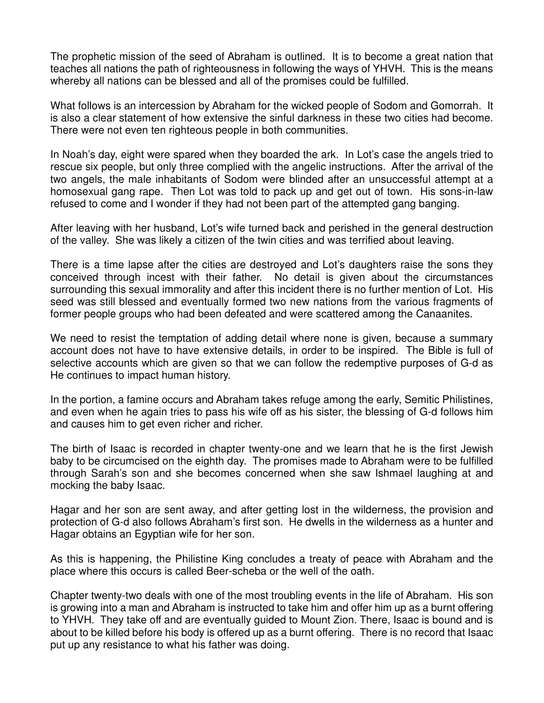The prophetic mission of the seed of Abraham is outlined. It is to become a great nation that teaches all nations the path of righteousness in following the ways of YHVH. This is the means whereby all nations can be blessed and all of the promises could be fulfilled.

What follows is an intercession by Abraham for the wicked people of Sodom and Gomorrah. It is also a clear statement of how extensive the sinful darkness in these two cities had become. There were not even ten righteous people in both communities.

In Noah's day, eight were spared when they boarded the ark. In Lot's case the angels tried to rescue six people, but only three complied with the angelic instructions. After the arrival of the two angels, the male inhabitants of Sodom were blinded after an unsuccessful attempt at a homosexual gang rape. Then Lot was told to pack up and get out of town. His sons-in-law refused to come and I wonder if they had not been part of the attempted gang banging.

After leaving with her husband, Lot's wife turned back and perished in the general destruction of the valley. She was likely a citizen of the twin cities and was terrified about leaving.

There is a time lapse after the cities are destroyed and Lot's daughters raise the sons they conceived through incest with their father. No detail is given about the circumstances surrounding this sexual immorality and after this incident there is no further mention of Lot. His seed was still blessed and eventually formed two new nations from the various fragments of former people groups who had been defeated and were scattered among the Canaanites.

We need to resist the temptation of adding detail where none is given, because a summary account does not have to have extensive details, in order to be inspired. The Bible is full of selective accounts which are given so that we can follow the redemptive purposes of G-d as He continues to impact human history.

In the portion, a famine occurs and Abraham takes refuge among the early, Semitic Philistines, and even when he again tries to pass his wife off as his sister, the blessing of G-d follows him and causes him to get even richer and richer.

The birth of Isaac is recorded in chapter twenty-one and we learn that he is the first Jewish baby to be circumcised on the eighth day. The promises made to Abraham were to be fulfilled through Sarah's son and she becomes concerned when she saw Ishmael laughing at and mocking the baby Isaac.

Hagar and her son are sent away, and after getting lost in the wilderness, the provision and protection of G-d also follows Abraham's first son. He dwells in the wilderness as a hunter and Hagar obtains an Egyptian wife for her son.

As this is happening, the Philistine King concludes a treaty of peace with Abraham and the place where this occurs is called Beer-scheba or the well of the oath.

Chapter twenty-two deals with one of the most troubling events in the life of Abraham. His son is growing into a man and Abraham is instructed to take him and offer him up as a burnt offering to YHVH. They take off and are eventually guided to Mount Zion. There, Isaac is bound and is about to be killed before his body is offered up as a burnt offering. There is no record that Isaac put up any resistance to what his father was doing.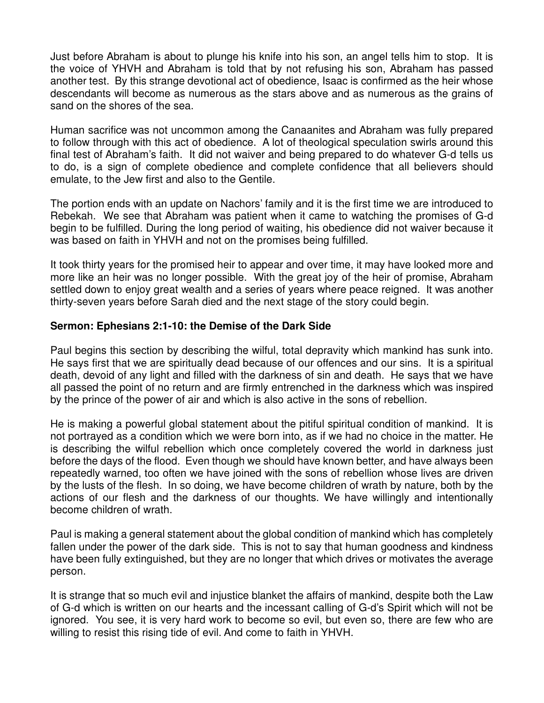Just before Abraham is about to plunge his knife into his son, an angel tells him to stop. It is the voice of YHVH and Abraham is told that by not refusing his son, Abraham has passed another test. By this strange devotional act of obedience, Isaac is confirmed as the heir whose descendants will become as numerous as the stars above and as numerous as the grains of sand on the shores of the sea.

Human sacrifice was not uncommon among the Canaanites and Abraham was fully prepared to follow through with this act of obedience. A lot of theological speculation swirls around this final test of Abraham's faith. It did not waiver and being prepared to do whatever G-d tells us to do, is a sign of complete obedience and complete confidence that all believers should emulate, to the Jew first and also to the Gentile.

The portion ends with an update on Nachors' family and it is the first time we are introduced to Rebekah. We see that Abraham was patient when it came to watching the promises of G-d begin to be fulfilled. During the long period of waiting, his obedience did not waiver because it was based on faith in YHVH and not on the promises being fulfilled.

It took thirty years for the promised heir to appear and over time, it may have looked more and more like an heir was no longer possible. With the great joy of the heir of promise, Abraham settled down to enjoy great wealth and a series of years where peace reigned. It was another thirty-seven years before Sarah died and the next stage of the story could begin.

## **Sermon: Ephesians 2:1-10: the Demise of the Dark Side**

Paul begins this section by describing the wilful, total depravity which mankind has sunk into. He says first that we are spiritually dead because of our offences and our sins. It is a spiritual death, devoid of any light and filled with the darkness of sin and death. He says that we have all passed the point of no return and are firmly entrenched in the darkness which was inspired by the prince of the power of air and which is also active in the sons of rebellion.

He is making a powerful global statement about the pitiful spiritual condition of mankind. It is not portrayed as a condition which we were born into, as if we had no choice in the matter. He is describing the wilful rebellion which once completely covered the world in darkness just before the days of the flood. Even though we should have known better, and have always been repeatedly warned, too often we have joined with the sons of rebellion whose lives are driven by the lusts of the flesh. In so doing, we have become children of wrath by nature, both by the actions of our flesh and the darkness of our thoughts. We have willingly and intentionally become children of wrath.

Paul is making a general statement about the global condition of mankind which has completely fallen under the power of the dark side. This is not to say that human goodness and kindness have been fully extinguished, but they are no longer that which drives or motivates the average person.

It is strange that so much evil and injustice blanket the affairs of mankind, despite both the Law of G-d which is written on our hearts and the incessant calling of G-d's Spirit which will not be ignored. You see, it is very hard work to become so evil, but even so, there are few who are willing to resist this rising tide of evil. And come to faith in YHVH.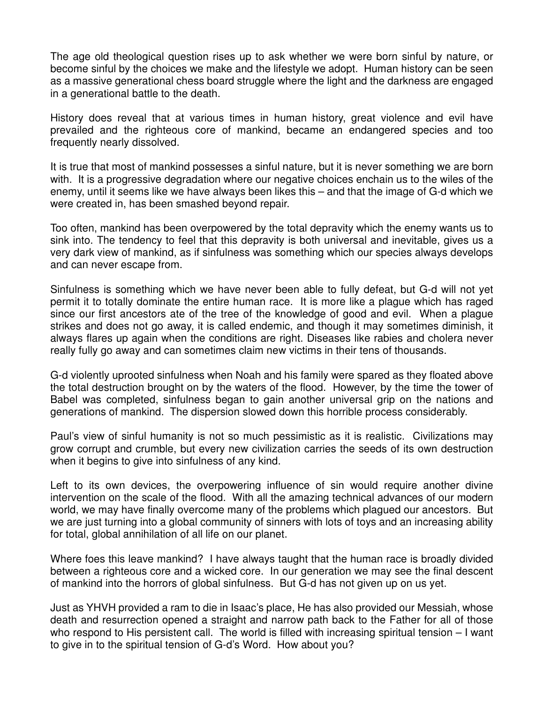The age old theological question rises up to ask whether we were born sinful by nature, or become sinful by the choices we make and the lifestyle we adopt. Human history can be seen as a massive generational chess board struggle where the light and the darkness are engaged in a generational battle to the death.

History does reveal that at various times in human history, great violence and evil have prevailed and the righteous core of mankind, became an endangered species and too frequently nearly dissolved.

It is true that most of mankind possesses a sinful nature, but it is never something we are born with. It is a progressive degradation where our negative choices enchain us to the wiles of the enemy, until it seems like we have always been likes this – and that the image of G-d which we were created in, has been smashed beyond repair.

Too often, mankind has been overpowered by the total depravity which the enemy wants us to sink into. The tendency to feel that this depravity is both universal and inevitable, gives us a very dark view of mankind, as if sinfulness was something which our species always develops and can never escape from.

Sinfulness is something which we have never been able to fully defeat, but G-d will not yet permit it to totally dominate the entire human race. It is more like a plague which has raged since our first ancestors ate of the tree of the knowledge of good and evil. When a plague strikes and does not go away, it is called endemic, and though it may sometimes diminish, it always flares up again when the conditions are right. Diseases like rabies and cholera never really fully go away and can sometimes claim new victims in their tens of thousands.

G-d violently uprooted sinfulness when Noah and his family were spared as they floated above the total destruction brought on by the waters of the flood. However, by the time the tower of Babel was completed, sinfulness began to gain another universal grip on the nations and generations of mankind. The dispersion slowed down this horrible process considerably.

Paul's view of sinful humanity is not so much pessimistic as it is realistic. Civilizations may grow corrupt and crumble, but every new civilization carries the seeds of its own destruction when it begins to give into sinfulness of any kind.

Left to its own devices, the overpowering influence of sin would require another divine intervention on the scale of the flood. With all the amazing technical advances of our modern world, we may have finally overcome many of the problems which plagued our ancestors. But we are just turning into a global community of sinners with lots of toys and an increasing ability for total, global annihilation of all life on our planet.

Where foes this leave mankind? I have always taught that the human race is broadly divided between a righteous core and a wicked core. In our generation we may see the final descent of mankind into the horrors of global sinfulness. But G-d has not given up on us yet.

Just as YHVH provided a ram to die in Isaac's place, He has also provided our Messiah, whose death and resurrection opened a straight and narrow path back to the Father for all of those who respond to His persistent call. The world is filled with increasing spiritual tension - I want to give in to the spiritual tension of G-d's Word. How about you?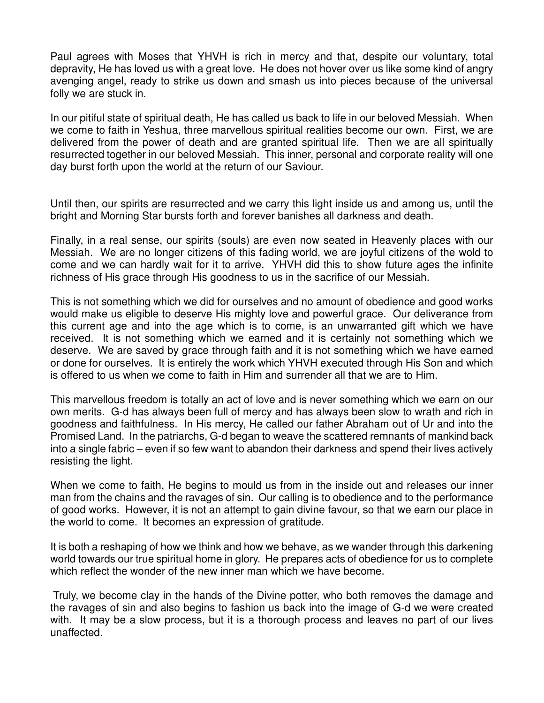Paul agrees with Moses that YHVH is rich in mercy and that, despite our voluntary, total depravity, He has loved us with a great love. He does not hover over us like some kind of angry avenging angel, ready to strike us down and smash us into pieces because of the universal folly we are stuck in.

In our pitiful state of spiritual death, He has called us back to life in our beloved Messiah. When we come to faith in Yeshua, three marvellous spiritual realities become our own. First, we are delivered from the power of death and are granted spiritual life. Then we are all spiritually resurrected together in our beloved Messiah. This inner, personal and corporate reality will one day burst forth upon the world at the return of our Saviour.

Until then, our spirits are resurrected and we carry this light inside us and among us, until the bright and Morning Star bursts forth and forever banishes all darkness and death.

Finally, in a real sense, our spirits (souls) are even now seated in Heavenly places with our Messiah. We are no longer citizens of this fading world, we are joyful citizens of the wold to come and we can hardly wait for it to arrive. YHVH did this to show future ages the infinite richness of His grace through His goodness to us in the sacrifice of our Messiah.

This is not something which we did for ourselves and no amount of obedience and good works would make us eligible to deserve His mighty love and powerful grace. Our deliverance from this current age and into the age which is to come, is an unwarranted gift which we have received. It is not something which we earned and it is certainly not something which we deserve. We are saved by grace through faith and it is not something which we have earned or done for ourselves. It is entirely the work which YHVH executed through His Son and which is offered to us when we come to faith in Him and surrender all that we are to Him.

This marvellous freedom is totally an act of love and is never something which we earn on our own merits. G-d has always been full of mercy and has always been slow to wrath and rich in goodness and faithfulness. In His mercy, He called our father Abraham out of Ur and into the Promised Land. In the patriarchs, G-d began to weave the scattered remnants of mankind back into a single fabric – even if so few want to abandon their darkness and spend their lives actively resisting the light.

When we come to faith, He begins to mould us from in the inside out and releases our inner man from the chains and the ravages of sin. Our calling is to obedience and to the performance of good works. However, it is not an attempt to gain divine favour, so that we earn our place in the world to come. It becomes an expression of gratitude.

It is both a reshaping of how we think and how we behave, as we wander through this darkening world towards our true spiritual home in glory. He prepares acts of obedience for us to complete which reflect the wonder of the new inner man which we have become.

 Truly, we become clay in the hands of the Divine potter, who both removes the damage and the ravages of sin and also begins to fashion us back into the image of G-d we were created with. It may be a slow process, but it is a thorough process and leaves no part of our lives unaffected.